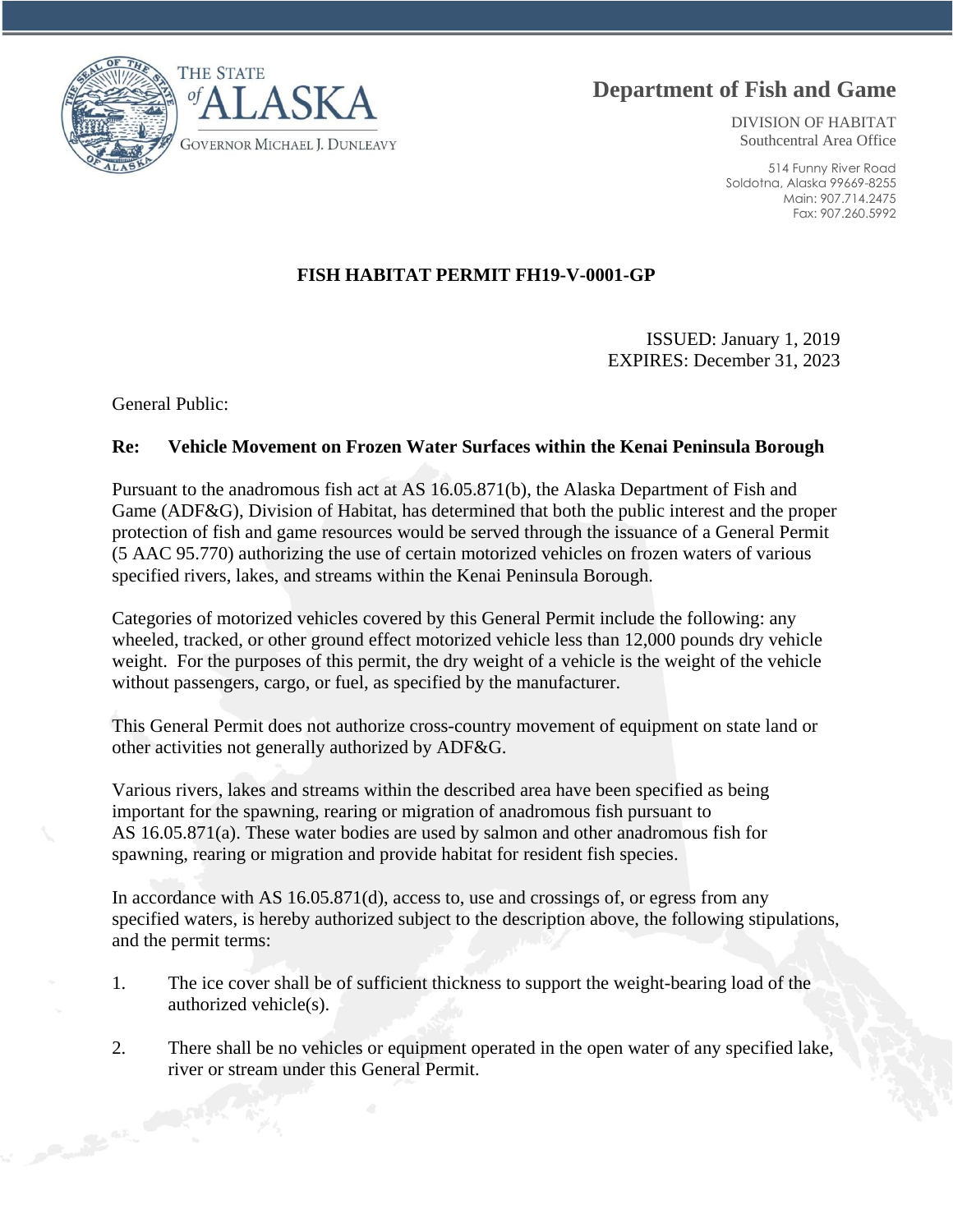



DIVISION OF HABITAT Southcentral Area Office

514 Funny River Road Soldotna, Alaska 99669-8255 Main: 907.714.2475 Fax: 907.260.5992

## **FISH HABITAT PERMIT FH19-V-0001-GP**

ISSUED: January 1, 2019 EXPIRES: December 31, 2023

General Public:

## **Re: Vehicle Movement on Frozen Water Surfaces within the Kenai Peninsula Borough**

Pursuant to the anadromous fish act at AS 16.05.871(b), the Alaska Department of Fish and Game (ADF&G), Division of Habitat, has determined that both the public interest and the proper protection of fish and game resources would be served through the issuance of a General Permit (5 AAC 95.770) authorizing the use of certain motorized vehicles on frozen waters of various specified rivers, lakes, and streams within the Kenai Peninsula Borough.

Categories of motorized vehicles covered by this General Permit include the following: any wheeled, tracked, or other ground effect motorized vehicle less than 12,000 pounds dry vehicle weight. For the purposes of this permit, the dry weight of a vehicle is the weight of the vehicle without passengers, cargo, or fuel, as specified by the manufacturer.

This General Permit does not authorize cross-country movement of equipment on state land or other activities not generally authorized by ADF&G.

Various rivers, lakes and streams within the described area have been specified as being important for the spawning, rearing or migration of anadromous fish pursuant to AS 16.05.871(a). These water bodies are used by salmon and other anadromous fish for spawning, rearing or migration and provide habitat for resident fish species.

In accordance with AS 16.05.871(d), access to, use and crossings of, or egress from any specified waters, is hereby authorized subject to the description above, the following stipulations, and the permit terms:

- 1. The ice cover shall be of sufficient thickness to support the weight-bearing load of the authorized vehicle(s).
- 2. There shall be no vehicles or equipment operated in the open water of any specified lake, river or stream under this General Permit.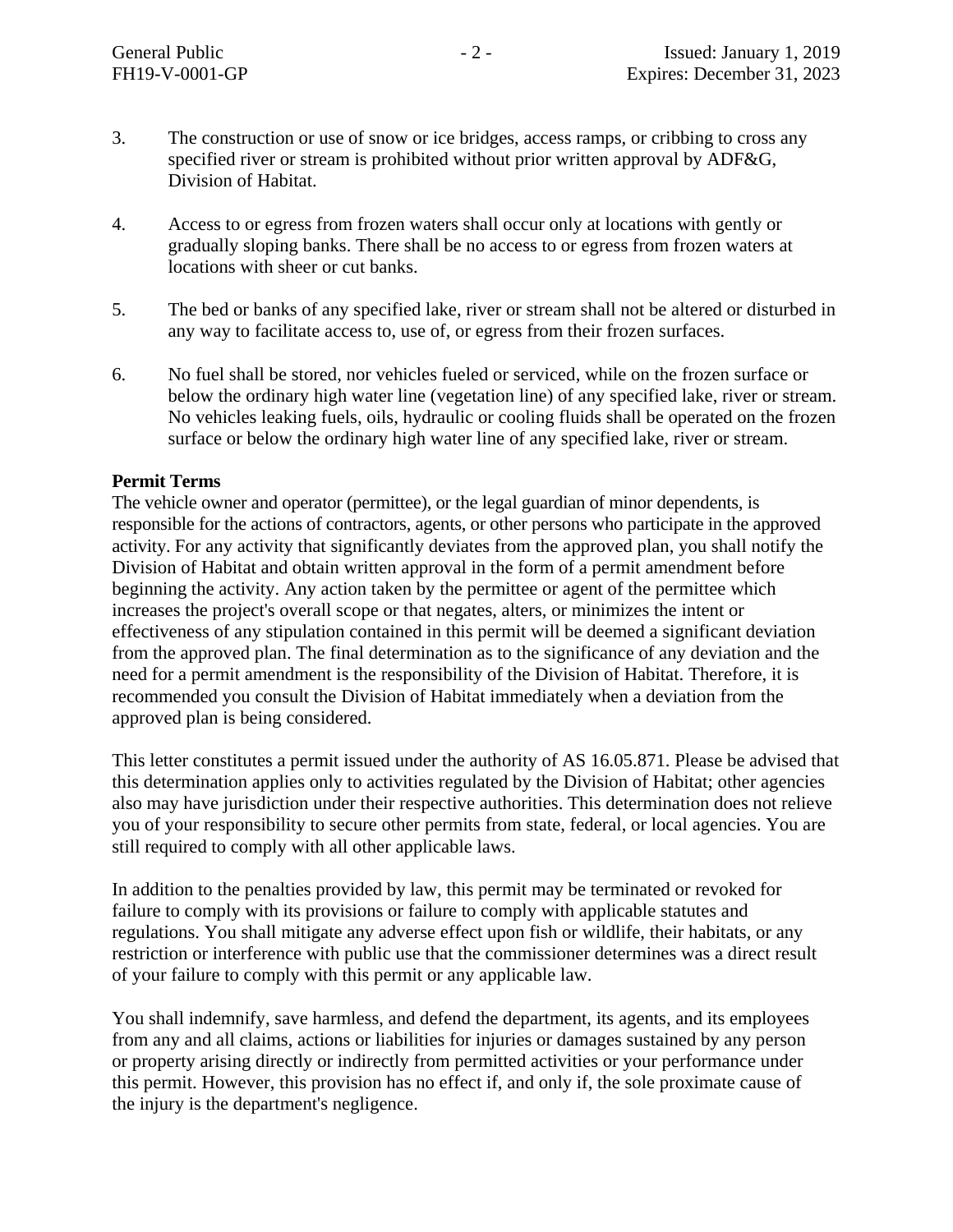- 3. The construction or use of snow or ice bridges, access ramps, or cribbing to cross any specified river or stream is prohibited without prior written approval by ADF&G, Division of Habitat.
- 4. Access to or egress from frozen waters shall occur only at locations with gently or gradually sloping banks. There shall be no access to or egress from frozen waters at locations with sheer or cut banks.
- 5. The bed or banks of any specified lake, river or stream shall not be altered or disturbed in any way to facilitate access to, use of, or egress from their frozen surfaces.
- 6. No fuel shall be stored, nor vehicles fueled or serviced, while on the frozen surface or below the ordinary high water line (vegetation line) of any specified lake, river or stream. No vehicles leaking fuels, oils, hydraulic or cooling fluids shall be operated on the frozen surface or below the ordinary high water line of any specified lake, river or stream.

## **Permit Terms**

The vehicle owner and operator (permittee), or the legal guardian of minor dependents, is responsible for the actions of contractors, agents, or other persons who participate in the approved activity. For any activity that significantly deviates from the approved plan, you shall notify the Division of Habitat and obtain written approval in the form of a permit amendment before beginning the activity. Any action taken by the permittee or agent of the permittee which increases the project's overall scope or that negates, alters, or minimizes the intent or effectiveness of any stipulation contained in this permit will be deemed a significant deviation from the approved plan. The final determination as to the significance of any deviation and the need for a permit amendment is the responsibility of the Division of Habitat. Therefore, it is recommended you consult the Division of Habitat immediately when a deviation from the approved plan is being considered.

This letter constitutes a permit issued under the authority of AS 16.05.871. Please be advised that this determination applies only to activities regulated by the Division of Habitat; other agencies also may have jurisdiction under their respective authorities. This determination does not relieve you of your responsibility to secure other permits from state, federal, or local agencies. You are still required to comply with all other applicable laws.

In addition to the penalties provided by law, this permit may be terminated or revoked for failure to comply with its provisions or failure to comply with applicable statutes and regulations. You shall mitigate any adverse effect upon fish or wildlife, their habitats, or any restriction or interference with public use that the commissioner determines was a direct result of your failure to comply with this permit or any applicable law.

You shall indemnify, save harmless, and defend the department, its agents, and its employees from any and all claims, actions or liabilities for injuries or damages sustained by any person or property arising directly or indirectly from permitted activities or your performance under this permit. However, this provision has no effect if, and only if, the sole proximate cause of the injury is the department's negligence.